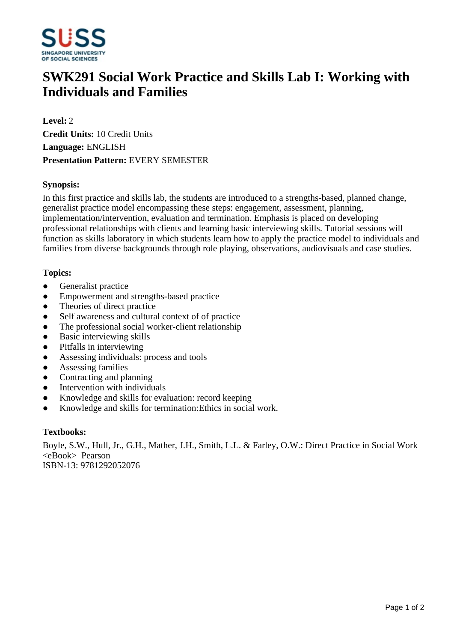

# **SWK291 Social Work Practice and Skills Lab I: Working with Individuals and Families**

**Level:** 2 **Credit Units:** 10 Credit Units **Language:** ENGLISH **Presentation Pattern:** EVERY SEMESTER

### **Synopsis:**

In this first practice and skills lab, the students are introduced to a strengths-based, planned change, generalist practice model encompassing these steps: engagement, assessment, planning, implementation/intervention, evaluation and termination. Emphasis is placed on developing professional relationships with clients and learning basic interviewing skills. Tutorial sessions will function as skills laboratory in which students learn how to apply the practice model to individuals and families from diverse backgrounds through role playing, observations, audiovisuals and case studies.

## **Topics:**

- Generalist practice
- Empowerment and strengths-based practice
- Theories of direct practice
- Self awareness and cultural context of of practice
- The professional social worker-client relationship
- Basic interviewing skills
- Pitfalls in interviewing
- Assessing individuals: process and tools
- Assessing families
- Contracting and planning
- Intervention with individuals
- Knowledge and skills for evaluation: record keeping
- Knowledge and skills for termination: Ethics in social work.

#### **Textbooks:**

Boyle, S.W., Hull, Jr., G.H., Mather, J.H., Smith, L.L. & Farley, O.W.: Direct Practice in Social Work <eBook> Pearson ISBN-13: 9781292052076